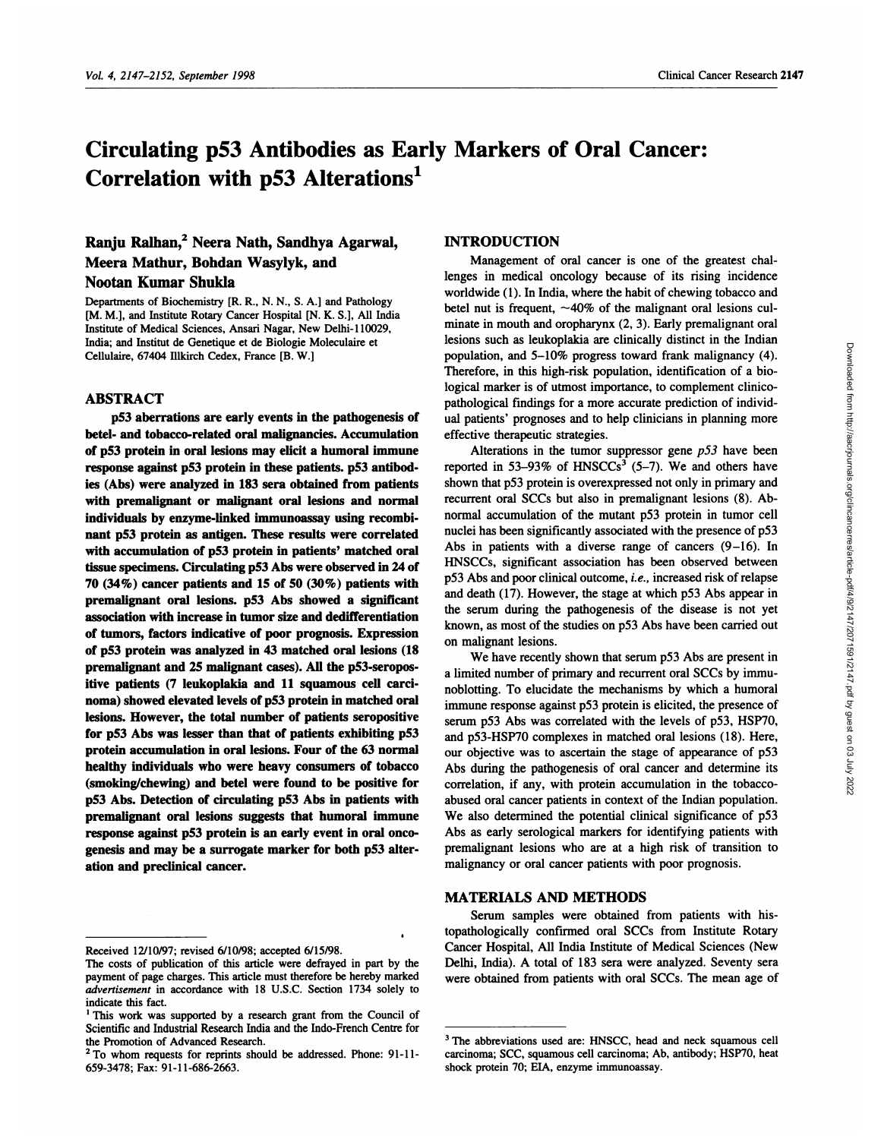# **Circulating p53 Antibodies as Early Markers of Oral Cancer: Correlation with p53 Alterations'**

# **Ranju j2 Neera Nath,** Sandhya Agarwal, Meera Mathur, Bohdan Wasylyk, and Nootan Kumar Shukia

Departments of Biochemistry [R. R., N. N., S. A.] and Pathology [M. M.], and Institute Rotary Cancer Hospital [N. K. S.], All India Institute of Medical Sciences, Ansari Nagar, New Delhi-110029, India; and Institut de Genetique et de Biologic Moleculaire et Cellulaire, 67404 lllkirch Cedex, France [B. W.]

# ABSTRACT

**p53 aberrations** are early **events in the pathogenesis of** betel- and tobacco-related oral malignancies. Accumulation **of p53 protein in** oral **lesions may elicit a** humoral immune response against p53 protein in these patients. p53 antibodies (Abs) were analyzed in **183 sera obtained from patients** with premalignant **or** malignant oral lesions and normal individuals **by** enzyme-linked immunoassay using recombi nant **pS3 protein as antigen.** These results **were correlated** with accumulation of **p53 protein in patients' matched oral** tissue specimens. Circulating p53 Abs were observed in 24 of **70 (34%) cancer patients** and **15 of***50* (30%) patients with premalignant oral lesions. p53 Abs showed a significant association with increase in tumor size and dedifferentiation **of** tumors, factors indicative **of** poor prognosis. **Expression of p53 protein was** analyzed in **43 matched** oral **lesions (18** premalignant and *25* malignant cases). All **the p53-seropositive patients (7 leukoplakia and 11 squamous cell carcinoma) showed elevated levels of pS3 protein in matched** oral **lesions. However, the total** number **of patients seropositive for p53 Abs was lesser than that of patients exhibiting p53** protein accumulation in oral lesions. **Four of the 63** normal **healthy** individuals **who were heavy** consumers **of tobacco** (smoking/chewing) **and** betel were found **to be positive for p53 Abs. Detection of** circulating p53 Abs in patients with premalignant oral lesions suggests that humoral immune response against p53 protein is an early event in oral**onco** genesis **and may be a surrogate marker for both p53 alter**ation and predlinical cancer.

# **INTRODUCTION**

Management of oral cancer is one of the greatest challenges in medical oncology because of its rising incidence worldwide (1). In India, where the habit of chewing tobacco and betel nut is frequent,  $\sim$ 40% of the malignant oral lesions culminate in mouth and oropharynx (2, 3). Early premalignant oral lesions such as leukoplakia are clinically distinct in the Indian population, and 5-10% progress toward frank malignancy (4). Therefore, in this high-risk population, identification of a biological marker is of utmost importance, to complement clinicopathological findings for a more accurate prediction of individual patients' prognoses and to help clinicians in planning more effective therapeutic strategies.

Alterations in the tumor suppressor gene  $p53$  have been reported in 53-93% of HNSCCs<sup>3</sup> (5-7). We and others have shown that p53 protein is overexpressed not only in primary and recurrent oral SCCs but also in premalignant lesions (8). Abnormal accumulation of the mutant p53 protein in tumor cell nuclei has been significantly associated with the presence of p53 Abs in patients with a diverse range of cancers (9-16). In HNSCCs, significant association has been observed between p53 Abs and poor clinical outcome, *i.e.,* increased risk of relapse and death (17). However, the stage at which p53 Abs appear in the serum during the pathogenesis of the disease is not yet known, as most of the studies on p53 Abs have been carried out on malignant lesions.

We have recently shown that serum p53 Abs are present in a limited number of primary and recurrent oral SCCs by immunoblotting. To elucidate the mechanisms by which a humorab immune response against p53 protein is elicited, the presence of serum p53 Abs was correlated with the levels of p53, HSP7O, and p53-HSP7O complexes in matched oral lesions (18). Here, our objective was to ascertain the stage of appearance of p53 Abs during the pathogenesis of oral cancer and determine its correlation, if any, with protein accumulation in the tobacco abused oral cancer patients in context of the Indian population. We also determined the potential clinical significance of p53 Abs as early serological markers for identifying patients with premalignant lesions who are at a high risk of transition to malignancy or oral cancer patients with poor prognosis.

#### MATERIALS AND **METHODS**

Serum samples were obtained from patients with histopathologically confirmed oral SCCs from Institute Rotary Cancer Hospital, All India Institute of Medical Sciences (New Delhi, India). A total of 183 sera were analyzed. Seventy sera were obtained from patients with oral SCCs. The mean age of

Received 12/10/97; revised 6/10/98; accepted 6/15/98.

The costs of publication of this article were defrayed in part by the payment of page charges. This article must therefore be hereby marked *advertisement* in accordance with 18 U.S.C. Section 1734 solely to indicate this fact.

**<sup>1</sup>** This work was supported by a research grant from the Council of Scientific and Industrial Research India and the Indo-French Centre for the Promotion of Advanced Research.

**<sup>2</sup>** To whom requests for reprints should be addressed. Phone: 91-11- 659-3478; Fax: 91-11-686-2663.

**<sup>3</sup>** The abbreviations used are: HNSCC, head and neck squamous cell carcinoma; 5CC, squamous cell carcinoma; Ab, antibody; HSP7O, heat shock protein 70; EIA, enzyme immunoassay.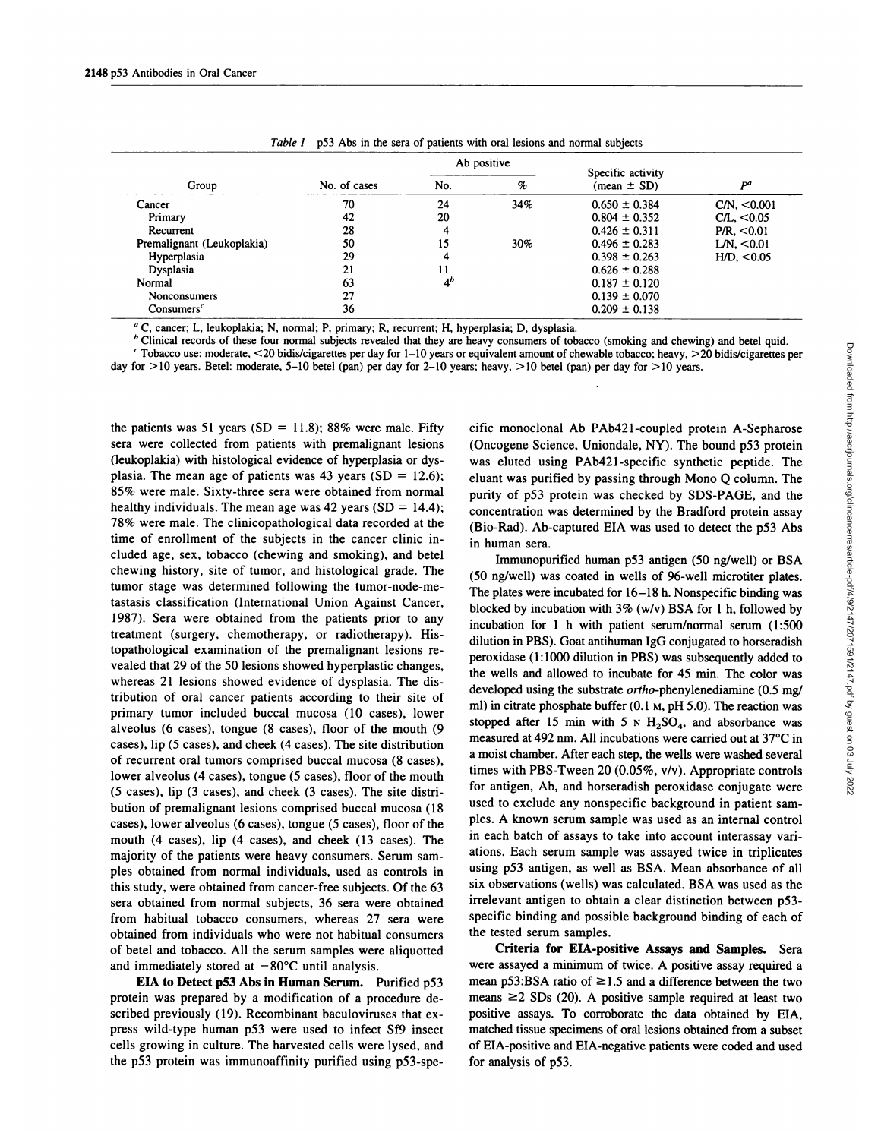|                            |              | Ab positive    |      | Specific activity      |                         |
|----------------------------|--------------|----------------|------|------------------------|-------------------------|
| Group                      | No. of cases | No.            | $\%$ | $(\text{mean} \pm SD)$ | pa                      |
| Cancer                     | 70           | 24             | 34%  | $0.650 \pm 0.384$      | CN <sub>1</sub> < 0.001 |
| Primary                    | 42           | 20             |      | $0.804 \pm 0.352$      | CL, <0.05               |
| Recurrent                  | 28           | 4              |      | $0.426 \pm 0.311$      | P/R. < 0.01             |
| Premalignant (Leukoplakia) | 50           | 15             | 30%  | $0.496 \pm 0.283$      | LN. < 0.01              |
| Hyperplasia                | 29           | 4              |      | $0.398 \pm 0.263$      | HD, <0.05               |
| Dysplasia                  | 21           |                |      | $0.626 \pm 0.288$      |                         |
| Normal                     | 63           | 4 <sup>b</sup> |      | $0.187 \pm 0.120$      |                         |
| <b>Nonconsumers</b>        | 27           |                |      | $0.139 \pm 0.070$      |                         |
| Consumes <sup>c</sup>      | 36           |                |      | $0.209 \pm 0.138$      |                         |

| Table 1 p53 Abs in the sera of patients with oral lesions and normal subjects |
|-------------------------------------------------------------------------------|
|-------------------------------------------------------------------------------|

**<sup>a</sup> c,** cancer; L, leukoplakia; N, normal; P. primary; R, recurrent; H, hyperplasia; D, dysplasia.

<sup>b</sup> Clinical records of these four normal subjects revealed that they are heavy consumers of tobacco (smoking and chewing) and betel quid. <sup>c</sup> Tobacco use: moderate, <20 bidis/cigarettes per day for 1-10 years or equivalent amount of chewable tobacco; heavy, >20 bidis/cigarettes per

day for >10 years. Betel: moderate, 5-10 betel (pan) per day for 2-10 years; heavy, >10 betel (pan) per day for >10 years.

the patients was 51 years (SD  $=$  11.8); 88% were male. Fifty sera were collected from patients with premalignant lesions (leukoplakia) with histological evidence of hyperplasia or dysplasia. The mean age of patients was 43 years (SD *<sup>=</sup>* 12.6); **85% were male. Sixty-three sera were obtained from** normal healthy individuals. The mean age was 42 years (SD *<sup>=</sup>* 14.4); 78% were male. The clinicopathological data recorded at the time of enrollment of the subjects in the cancer clinic included age, sex, tobacco (chewing and smoking), and betel chewing history, site of tumor, and histological grade. The tumor stage was determined following the tumor-node-metastasis classification (International Union Against Cancer, 1987). Sera were obtained from the patients prior to any treatment (surgery, chemotherapy, or radiotherapy). Histopathological examination of the premalignant lesions re vealed that 29 of the 50 lesions showed hyperplastic changes, whereas 21 lesions showed evidence of dysplasia. The distribution of oral cancer patients according to their site of primary tumor included buccal mucosa (10 cases), lower alveolus (6 cases), tongue (8 cases), floor of the mouth (9 cases), lip *(5* cases), and cheek (4 cases). The site distribution of recurrent oral tumors comprised buccal mucosa (8 cases), lower alveolus (4 cases), tongue *(5* cases), floor of the mouth *(5* cases), lip (3 cases), and cheek (3 cases). The site distribution of premalignant lesions comprised buccal mucosa (18 cases), bower alveolus (6 cases), tongue *(5* cases), floor of the mouth (4 cases), lip (4 cases), and cheek (13 cases). The majority of the patients were heavy consumers. Serum sam ples obtained from normal individuals, used as controls in this study, were obtained from cancer-free subjects. Of the 63 sera obtained from normal subjects, 36 sera were obtained from habitual tobacco consumers, whereas 27 sera were obtained from individuals who were not habitual consumers of betel and tobacco. All the serum samples were aliquotted and immediately stored at  $-80^{\circ}$ C until analysis.

EIA **to Detect p53 Abs in Human Serum. Purified** *p53* protein was prepared by a modification of a procedure described previously (19). Recombinant baculoviruses that express wild-type human p53 were used to infect Sf9 insect cells growing in culture. The harvested cells were lysed, and the p53 protein was immunoaffinity purified using p53-specific monoclonal Ab PAb421-coupled protein A-Sepharose (Oncogene Science, Uniondale, NY). The bound p53 protein was eluted using PAb42l-specific synthetic peptide. The eluant was purified by passing through Mono *Q* column. The purity of p53 protein was checked by SDS-PAGE, and the concentration was determined by the Bradford protein assay (Bio-Rad). Ab-captured EIA was used to detect the p53 Abs in human sera.

consumes to too accourbing and Lietwitty and between whose particular and the theories particle data mount of chevable to bacco; heavy, >20 bidis/cigarettes per<br>avy, >10 betel (pan) per day for >10 years.<br>
any, >10 betel **(50** ng/well) was coated in wells of 96-well microtiter plates. The plates were incubated for 16-18 h. Nonspecific binding was blocked by incubation with 3% (w/v) BSA for 1 h, followed by incubation for 1 h with patient serum/normal serum (1:500 dilution in PBS). Goat antihuman IgG conjugated to horseradish peroxidase (1:1000 dilution in PBS) was subsequently added to the wells and allowed to incubate for 45 min. The color was developed using the substrate ortho-phenylenediamine (0.5 mg/ ml) in citrate phosphate buffer (0.1 **M,** pH 5.0). The reaction was stopped after 15 min with 5 N  $H_2SO_4$ , and absorbance was measured at 492 nm. All incubations were carried out at 37°C in a moist chamber. After each step, the wells were washed several times with PBS-Tween 20 (0.05%, v/v). Appropriate controls for antigen, Ab, and horseradish peroxidase conjugate were used to exclude any nonspecific background in patient sam ples. A known serum sample was used as an internal control in each batch of assays to take into account interassay van ations. Each serum sample was assayed twice in triplicates using p53 antigen, as well as BSA. Mean absorbance of all six observations (wells) was calculated. BSA was used as the irrelevant antigen to obtain a clear distinction between p53 specific binding and possible background binding of each of the tested serum samples.

Criteria **for EIA-positive Assays and Samples. Sera** were assayed a minimum of twice. A positive assay required a mean p53:BSA ratio of  $\geq$ 1.5 and a difference between the two means  $\geq$  2 SDs (20). A positive sample required at least two positive assays. To corroborate the data obtained by EIA, matched tissue specimens of oral lesions obtained from a subset of EIA-positive and EIA-negative patients were coded and used for analysis of p53.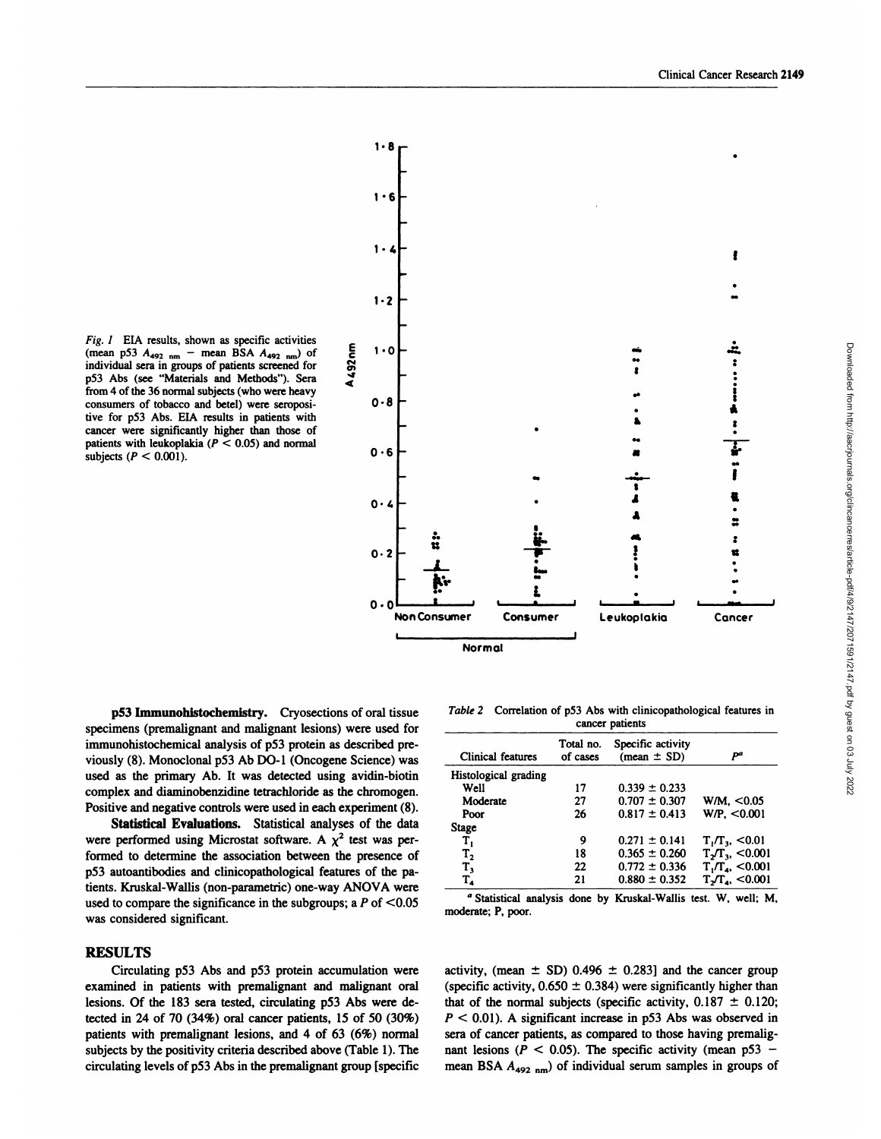*Fig. 1* EIA results, shown as specific activities  $(mean p53 A_{492 nm} - mean BSA A_{492 nm})$  of individual sera in groups of patients screened for p53 Abs (see "Materials and Methods"). Sera from 4 of the 36 normal subjects (who were heavy consumers of tobacco and betel) were seropositive for p53 Abs. ELA results in patients with cancer were significantly higher than those of patients with leukoplakia  $(P < 0.05)$  and normal subjects *(P <sup>&</sup>lt;* 0.001).



**p53** Immunohistochemistry. Cryosections of oral tissue specimens (premalignant and malignant lesions) were used for immunohistochemical analysis of p53 protein as described pre viously (8). Monoclonal p53 Ab DO-i (Oncogene Science) was used as the primary Ab. It was detected using avidin-biotin complex and diaminobenzidine tetrachloride as the chromogen. Positive and negative controls were used in each experiment (8).

Statistical Evaluations. Statistical analyses of the data were performed using Microstat software. A  $\chi^2$  test was performed to determine the association between the presence of p53 autoantibodies and clinicopathological features of the patients. Kruskal-Wallis (non-parametric) one-way ANOVA were used to compare the significance in the subgroups; a  $P$  of  $\leq 0.05$ was considered significant.

# RESULTS

Circulating p53 Abs and p53 protein accumulation were examined in patients with premalignant and malignant oral lesions. Of the 183 sera tested, circulating **p53** Abs were detected in 24 of 70 (34%) oral cancer patients, 15 of 50 (30%) patients with premalignant lesions, and  $4$  of  $63$  ( $6\%$ ) normal subjects by the positivity criteria described above (Table 1). The circulating levels of p53 Abs in the premalignant group [specific

Table 2 Correlation of p53 Abs with clinicopathological features in cancer patients

| Clinical features    | Total no.<br>of cases | Specific activity<br>$(mean \pm SD)$ | Рª                     |
|----------------------|-----------------------|--------------------------------------|------------------------|
| Histological grading |                       |                                      |                        |
| Well                 | 17                    | $0.339 \pm 0.233$                    |                        |
| Moderate             | 27                    | $0.707 \pm 0.307$                    | W/M. < 0.05            |
| Poor                 | 26                    | $0.817 \pm 0.413$                    | WP. < 0.001            |
| <b>Stage</b>         |                       |                                      |                        |
| т,                   | 9                     | $0.271 \pm 0.141$                    | $T_1/T_3$ , <0.01      |
| T <sub>2</sub>       | 18                    | $0.365 \pm 0.260$                    | $T_{2}/T_{3}$ , <0.001 |
| $T_{3}$              | 22                    | $0.772 \pm 0.336$                    | $T_1/T_4$ , <0.001     |
| $T_{4}$              | 21                    | $0.880 \pm 0.352$                    | $T_{2}/T_{4}$ , <0.001 |
|                      |                       |                                      |                        |

**<sup>a</sup>** Statistical analysis done by Kruskal-Wallis test. W, well; M, moderate; P. poor.

activity, (mean  $\pm$  SD) 0.496  $\pm$  0.283] and the cancer group (specific activity,  $0.650 \pm 0.384$ ) were significantly higher than that of the normal subjects (specific activity,  $0.187 \pm 0.120$ ; *P <sup>&</sup>lt;* 0.01). A significant increase in p53 Abs was observed in sera of cancer patients, as compared to those having premalignant lesions ( $P < 0.05$ ). The specific activity (mean p53 -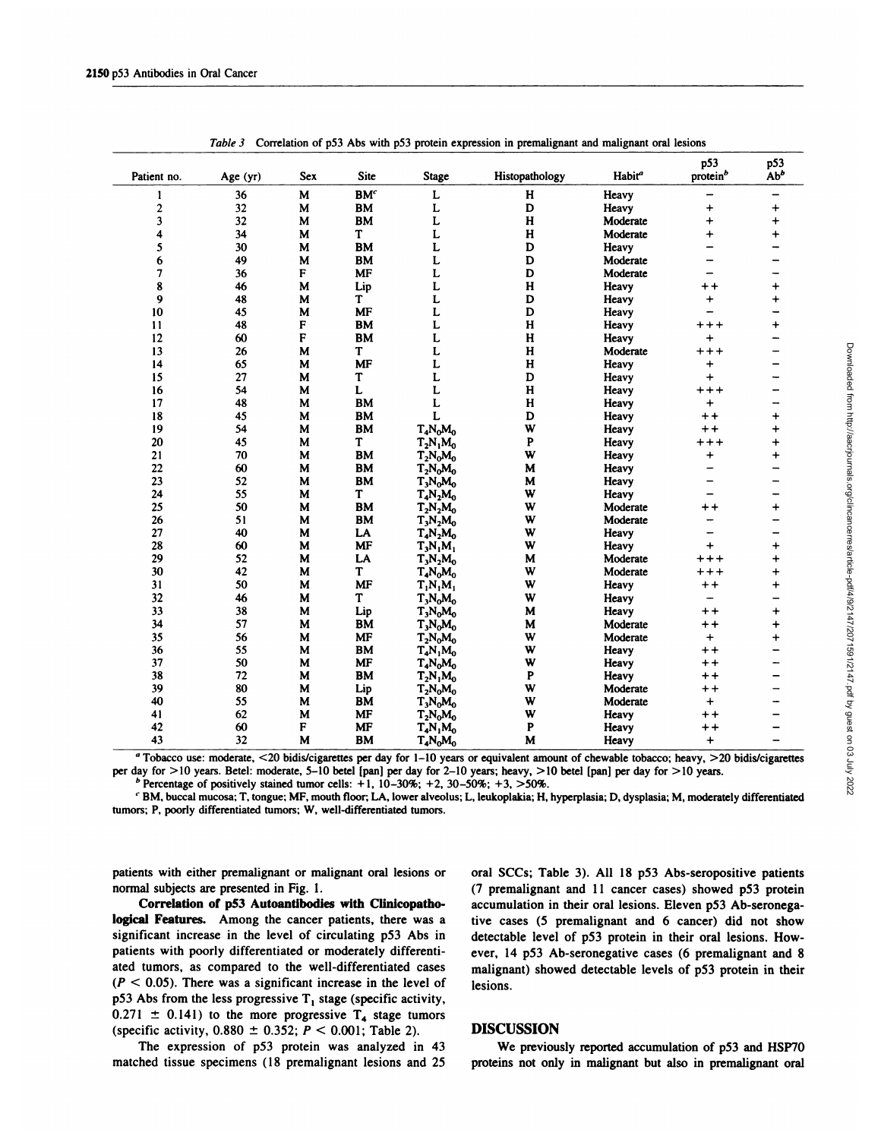| Patient no.             | Age (yr) | <b>Sex</b>  | <b>Site</b>     | Stage                         | Histopathology          | Habit <sup>a</sup> | p53<br>protein <sup>b</sup> | p53<br>Ab <sup>b</sup>   |
|-------------------------|----------|-------------|-----------------|-------------------------------|-------------------------|--------------------|-----------------------------|--------------------------|
| $\mathbf{1}$            | 36       | M           | BM <sup>c</sup> | $\mathbf L$                   | Н                       | Heavy              | -                           | $\overline{\phantom{0}}$ |
| $\boldsymbol{2}$        | 32       | M           | BM              | L                             | D                       | Heavy              | $\ddot{}$                   | $\ddot{}$                |
| $\overline{\mathbf{3}}$ | 32       | M           | <b>BM</b>       | L                             | $\mathbf H$             | Moderate           | $\ddot{}$                   | $\ddot{}$                |
| 4                       | 34       | M           | T               | L                             | $\mathbf H$             | Moderate           | $\ddotmark$                 | $\ddot{}$                |
| 5                       | 30       | M           | BM              | L                             | D                       | Heavy              | $\overline{\phantom{0}}$    | $\overline{\phantom{0}}$ |
| 6                       | 49       | M           | <b>BM</b>       | L                             | $\mathbf D$             | Moderate           | -                           | —                        |
| 7                       | 36       | F           | MF              | L                             | D                       | Moderate           | -                           | -                        |
| 8                       | 46       | M           | Lip             | L                             | $\overline{\mathbf{H}}$ | <b>Heavy</b>       | $+ +$                       | $\ddot{}$                |
| 9                       | 48       | M           | T               | L                             | D                       | Heavy              | $+$                         | $\ddot{}$                |
| 10                      | 45       | M           | <b>MF</b>       | L                             | D                       | Heavy              | -                           | -                        |
| 11                      | 48       | F           | <b>BM</b>       | L                             | $\mathbf H$             | Heavy              | $++++$                      | $\ddot{}$                |
| 12                      | 60       | F           | ${\bf BM}$      | L                             | $\mathbf H$             | Heavy              | $+$                         | $\overline{\phantom{0}}$ |
| 13                      | 26       | M           | T               | L                             | $\mathbf H$             | Moderate           | $***$                       | -                        |
| 14                      | 65       | $\mathbf M$ | <b>MF</b>       | L                             | H                       | Heavy              | $+$                         | -                        |
| 15                      | 27       | M           | T               | L                             | D                       | Heavy              | $\ddot{+}$                  | -                        |
| 16                      | 54       | M           | L               | L                             | $\mathbf H$             | Heavy              | $***$                       | -                        |
| 17                      | 48       | M           | <b>BM</b>       | L                             | $\mathbf H$             | <b>Heavy</b>       | $\ddot{}$                   | -                        |
| 18                      | 45       | M           | BM              | L                             | D                       | Heavy              | $++$                        | $\ddot{}$                |
| 19                      | 54       | M           | <b>BM</b>       | $T_4N_0M_0$                   | W                       | Heavy              | $++$                        | $\ddot{}$                |
| 20                      | 45       | $\mathbf M$ | T               | $T_2N_1M_0$                   | P                       | Heavy              | $***$                       | $\ddot{}$                |
| 21                      | 70       | M           | BM              | $T_2N_0M_0$                   | W                       | Heavy              | $\ddot{}$                   | $\ddot{}$                |
| 22                      | 60       | M           | BM              | $T_2N_0M_0$                   | M                       | Heavy              | -                           | -                        |
| 23                      | 52       | M           | BM              | $T_3N_0M_0$                   | M                       | Heavy              | -                           | —                        |
| 24                      | 55       | M           | T               | $T_4N_2M_0$                   | W                       | Heavy              | $\overline{\phantom{0}}$    | -                        |
| 25                      | 50       | M           | <b>BM</b>       | $T_2N_2M_0$                   | W                       | Moderate           | $+ +$                       | $\ddot{}$                |
| 26                      | 51       | M           | BM              | $T_3N_2M_0$                   | W                       | Moderate           | $\overline{\phantom{0}}$    | $\overline{\phantom{0}}$ |
| 27                      | 40       | M           | LA              | $T_4N_2M_0$                   | W                       | Heavy              | -                           | —                        |
| 28                      | 60       | M           | <b>MF</b>       | $T_3N_1M_1$                   | W                       | Heavy              | $\ddot{+}$                  | +                        |
| 29                      | 52       | M           | LA              | $T_3N_2M_0$                   | M                       | Moderate           | $***$                       | $\ddot{}$                |
| 30                      | 42       | M           | T               | $T_4N_0M_0$                   | W                       | Moderate           | $***$                       | $\ddot{}$                |
| 31                      | 50       | M           | <b>MF</b>       | $T_1N_1M_1$                   | W                       | Heavy              | $+ +$                       | $\ddot{}$                |
| 32                      | 46       | M           | T               | $T_3N_0M_0$                   | W                       | Heavy              | $\overline{\phantom{0}}$    | $\overline{\phantom{0}}$ |
| 33                      | 38       | M           | Lip             | $T_3N_0M_0$                   | M                       | Heavy              | $++$                        | $\ddot{}$                |
| 34                      | 57       | M           | BM              | $T_{\rm A}N_{\rm o}M_{\rm o}$ | M                       | Moderate           | $++$                        | $\ddot{}$                |
| 35                      | 56       | M           | <b>MF</b>       | $T_2N_0M_0$                   | W                       | Moderate           | $+$                         | $\ddot{}$                |
| 36                      | 55       | M           | BM              | $T_4N_1M_0$                   | W                       | Heavy              | $++$                        | -                        |
| 37                      | 50       | M           | <b>MF</b>       | $T_4N_0M_0$                   | W                       | Heavy              | $++$                        | -                        |
| 38                      | 72       | M           | <b>BM</b>       | $T_2N_1M_0$                   | P                       | Heavy              | $++$                        | -                        |
| 39                      | 80       | M           | Lip             | $T_2N_0M_0$                   | W                       | Moderate           | $+ +$                       | $\overline{\phantom{0}}$ |
| 40                      | 55       | M           | BM              | $T_3N_0M_0$                   | W                       | Moderate           | $+$                         |                          |
| 41                      | 62       | M           | MF              | $T_2N_0M_0$                   | W                       | Heavy              | $++$                        |                          |
| 42                      | 60       | F           | <b>MF</b>       | $T_4N_1M_0$                   | P                       | Heavy              | $++$                        |                          |
| 43                      | 32       | M           | <b>BM</b>       | $T_4N_0M_0$                   | M                       | Heavy              | $\ddot{}$                   |                          |
|                         |          |             |                 |                               |                         |                    |                             |                          |

*Table* 3 Correlation of p53 Abs with p53 protein expression in premalignant and malignant oral lesions

a Tobacco use: moderate, <20 bidis/cigarettes per day for 1-10 years or equivalent amount of chewable tobacco; heavy, >20 bidis/cigarettes per day for *>* 10 years. Betel: moderate, 5-10 betel [pan] per day for 2-10 years; heavy, *>* 10 betel [pan] per day for *>* 10 years.

**b** Percentage of positively stained tumor cells:  $+1$ , 10-30%;  $+2$ , 30-50%;  $+3$ ,  $>50\%$ .

*<sup>C</sup>* **BM, buccal** mucosa; T, tongue; **MF,** mouth floor; LA, lower alveolus; L, leukoplakia; H, hyperplasia; D, dysplasia; M, moderately differentiated tumors; P, poorly differentiated tumors; W, well-differentiated tumors.

**patients with either premalignant or malignant** oral lesions or normal subjects are presented in Fig. 1.

Correlation of p53 Autoantibodies with Clinicopathological Features. **Among the cancer patients, there was a** significant increase in the level of circulating p53 Abs in **patients with poorly differentiated or moderately differenti**ated tumors, as compared to the well-differentiated cases  $(P < 0.05)$ . There was a significant increase in the level of p53 Abs from the less progressive  $T_1$  stage (specific activity,  $0.271 \pm 0.141$ ) to the more progressive T<sub>4</sub> stage tumors (specific activity,  $0.880 \pm 0.352$ ;  $P < 0.001$ ; Table 2).

**The expression of p53 protein was analyzed in 43** matched tissue specimens **( 18 premalignant lesions and 25**

**oral SCCs; Table 3). All 18 p53 Abs-seropositive patients** (7 **premalignant and 1 1 cancer cases) showed p53 protein accumulation in their oral lesions. Eleven p53 Ab-seronega**tive cases *(5* premalignant and **6 cancer) did not show detectable level of p53 protein in their oral lesions. However, 14 p53 Ab-seronegative cases (6 premalignant and 8 malignant) showed detectable levels of p53 protein in their** lesions.

# **DISCUSSION**

**We previously reported accumulation of p53** and **HSP7O** proteins **not only in malignant but also in premalignant** oral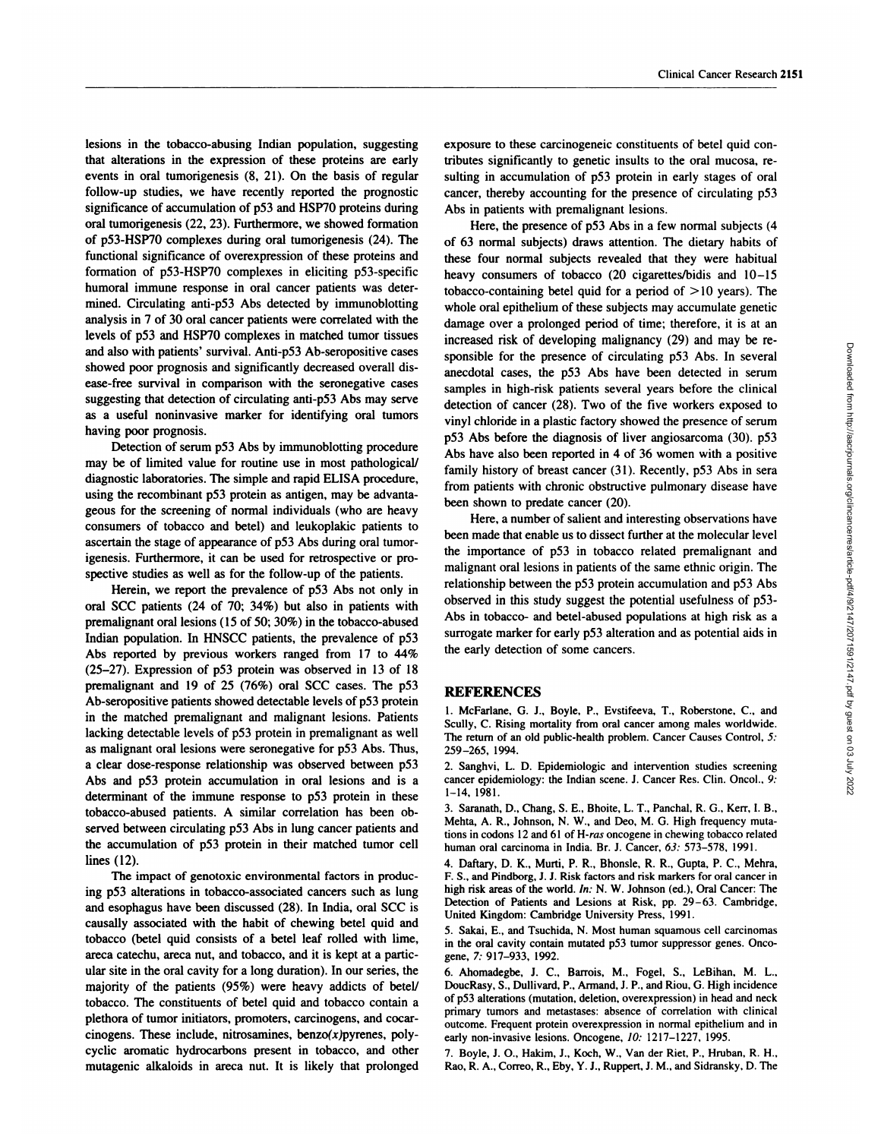lesions in the tobacco-abusing Indian population, suggesting that alterations in the expression of these proteins are early events in oral tumorigenesis (8, 21). On the basis of regular follow-up studies, we have recently reported the prognostic significance of accumulation of p53 and HSP7O proteins during oral tumorigenesis (22, 23). Furthermore, we showed formation of p53-HSP7O complexes during oral tumorigenesis (24). The functional significance of overexpression of these proteins and formation of p53-HSP7O complexes in eliciting p53-specific humoral immune response in oral cancer patients was determined. Circulating anti-p53 Abs detected by immunoblotting analysis in 7 of 30 oral cancer patients were correlated with the levels of p53 and HSP7O complexes in matched tumor tissues and also with patients' survival. Anti-p53 Ab-seropositive cases showed poor prognosis and significantly decreased overall disease-free survival in comparison with the seronegative cases suggesting that detection of circulating anti-p53 Abs may serve as a useful noninvasive marker for identifying oral tumors having poor prognosis.

Detection of serum p53 Abs by immunoblotting procedure may be of limited value for routine use in most pathological/ diagnostic laboratories. The simple and rapid ELISA procedure, using the recombinant p53 protein as antigen, may be advantageous for the screening of normal individuals (who are heavy consumers of tobacco and betel) and leukoplakic patients to ascertain the stage of appearance of p53 Abs during oral tumorigenesis. Furthermore, it can be used for retrospective or prospective studies as well as for the follow-up of the patients.

Herein, we report the prevalence of p53 Abs not only in oral **5CC patients (24 of 70; 34%) but also in patients with** premalignant oral lesions (15 of *50;* 30%) in the tobacco-abused Indian population. In HNSCC patients, the prevalence of p53 Abs reported by previous workers ranged from 17 to 44% (25-27). Expression of p53 protein was observed in 13 of 18 premalignant and 19 of 25 (76%) oral **5CC cases. The p53** Ab-seropositive patients showed detectable levels of p53 protein in the matched premalignant and malignant lesions. Patients lacking detectable levels of p53 protein in premalignant as well as malignant oral lesions were seronegative for p53 Abs. Thus, a clear dose-response relationship was observed between p53 Abs and p53 protein accumulation in oral lesions and is a determinant of the immune response to p53 protein in these tobacco-abused patients. A similar correlation has been observed between circulating p53 Abs in lung cancer patients and the accumulation of p53 protein in their matched tumor cell lines (12).

The impact of genotoxic environmental factors in producing p53 alterations in tobacco-associated cancers such as lung and esophagus have been discussed (28). In India, oral SCC is causally associated with the habit of chewing betel quid and tobacco (betel quid consists of a betel leaf rolled with lime, areca catechu, areca nut, and tobacco, and it is kept at a particular site in the oral cavity for a long duration). In our series, the majority of the patients (95%) were heavy addicts of betel/ tobacco. The constituents of betel quid and tobacco contain a plethora of tumor initiators, promoters, carcinogens, and cocar cinogens. These include, nitrosamines, benzo $(x)$ pyrenes, polycyclic aromatic hydrocarbons present in tobacco, and other mutagenic alkaloids in areca nut. It is likely that prolonged exposure to these carcinogeneic constituents of betel quid contributes significantly to genetic insults to the oral mucosa, re sulting in accumulation of p53 protein in early stages of oral cancer, thereby accounting for the presence of circulating p53 Abs in patients with premalignant lesions.

Here, the presence of p53 Abs in a few normal subjects (4 of 63 normal subjects) draws attention. The dietary habits of these four normal subjects revealed that they were habitual heavy consumers of tobacco (20 cigarettes/bidis and 10-15 tobacco-containing betel quid for a period of *>* 10 years). The whole oral epithelium of these subjects may accumulate genetic damage over a prolonged period of time; therefore, it is at an increased risk of developing malignancy (29) and may be re sponsible for the presence of circulating p53 Abs. In several anecdotal cases, the p53 Abs have been detected in serum samples in high-risk patients several years before the clinical detection of cancer (28). Two of the five workers exposed to vinyl chloride in a plastic factory showed the presence of serum p53 Abs before the diagnosis of liver angiosarcoma (30). p53 Abs have also been reported in 4 of 36 women with a positive family history of breast cancer (31). Recently, p53 Abs in sera from patients with chronic obstructive pulmonary disease have been shown to predate cancer (20).

Here, a number of salient and interesting observations have been made that enable us to dissect further at the molecular level the importance of p53 in tobacco related premalignant and malignant oral lesions in patients of the same ethnic origin. The relationship between the p53 protein accumulation and p53 Abs observed in this study suggest the potential usefulness of p53- Abs in tobacco- and betel-abused populations at high risk as a surrogate marker for early p53 alteration and as potential aids in the early detection of some cancers.

### **REFERENCES**

1. McFarlane, G. J., Boyle, P., Evstifeeva, T., Roberstone, C., and Scully, C. Rising mortality from oral cancer among males worldwide. The return of an old public-health problem. Cancer Causes Control, *5:* 259-265, 1994.

2. Sanghvi, L. D. Epidemiologic and intervention studies screening cancer epidemiology: the Indian scene. J. Cancer Res. Clin. Oncol., 9: 1-14, 1981.

3. Saranath, D., Chang, S. E., Bhoite, L. T., Panchal, R. G., Kerr, I. B., Mehta, A. R., Johnson, N. W., and Deo, M. G. High frequency mutations in codons 12 and 61 of*H-ras* oncogene in chewing tobacco related human oral carcinoma in India. Br. J. Cancer, *63:* 573-578, 1991.

4. Daftary, D. K., Murti, P. R., Bhonsle, R. R., Gupta, P. C., Mehra, F. S., **and Pindborg, J. J. Risk factors and risk** markers for oral cancer in high risk areas of the world. *In:* N. W. Johnson (ed.), Oral Cancer: The Detection of Patients and Lesions at Risk, pp. 29-63. Cambridge, United Kingdom: Cambridge University Press, 1991.

*5.* Sakai, E., and Tsuchida, N. Most human squamous cell carcinomas in the oral cavity contain mutated p53 tumor suppressor genes. Onco gene, 7: 917-933, 1992.

6. Ahomadegbe, J. C., Barrois, M., Fogel, S., LeBihan, M. L., DoucRasy, S., Dullivard, P., Armand, J. P., and Riou, G. High incidence of p53 alterations (mutation, deletion, overexpression) in head and neck primary tumors and metastases: absence of correlation with clinical outcome. Frequent protein overexpression in normal epithelium and in early non-invasive lesions. Oncogene, *10:* 1217-1227, 1995.

7. Boyle, J. 0., Hakim, J., Koch, W., Van der Riet, P., Hruban, R. H., Rao, R. A., Correo, R., Eby, Y. J., Ruppert, J. M., and Sidransky, D. The